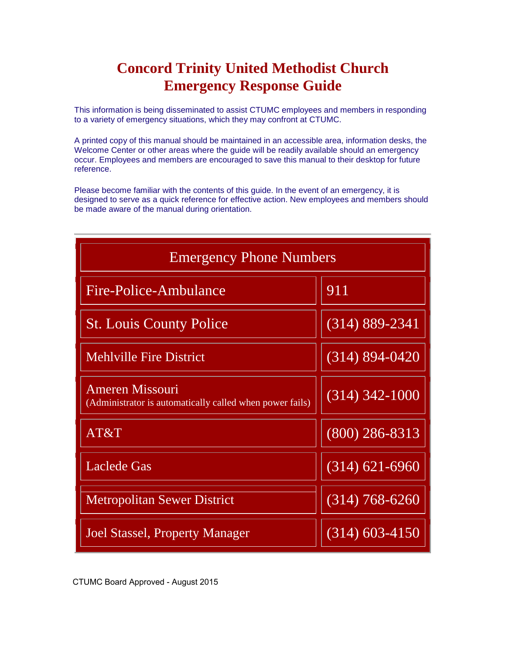### **Concord Trinity United Methodist Church Emergency Response Guide**

This information is being disseminated to assist CTUMC employees and members in responding to a variety of emergency situations, which they may confront at CTUMC.

A printed copy of this manual should be maintained in an accessible area, information desks, the Welcome Center or other areas where the guide will be readily available should an emergency occur. Employees and members are encouraged to save this manual to their desktop for future reference.

Please become familiar with the contents of this guide. In the event of an emergency, it is designed to serve as a quick reference for effective action. New employees and members should be made aware of the manual during orientation.

| <b>Emergency Phone Numbers</b>                                                     |                    |  |  |  |
|------------------------------------------------------------------------------------|--------------------|--|--|--|
| Fire-Police-Ambulance                                                              | 911                |  |  |  |
| <b>St. Louis County Police</b>                                                     | $(314) 889 - 2341$ |  |  |  |
| <b>Mehlville Fire District</b>                                                     | $(314) 894 - 0420$ |  |  |  |
| <b>Ameren Missouri</b><br>(Administrator is automatically called when power fails) | $(314)$ 342-1000   |  |  |  |
| AT&T                                                                               | $(800)$ 286-8313   |  |  |  |
| <b>Laclede Gas</b>                                                                 | $(314) 621 - 6960$ |  |  |  |
| <b>Metropolitan Sewer District</b>                                                 | $(314)$ 768-6260   |  |  |  |
| <b>Joel Stassel, Property Manager</b>                                              | $(314)$ 603-4150   |  |  |  |

CTUMC Board Approved - August 2015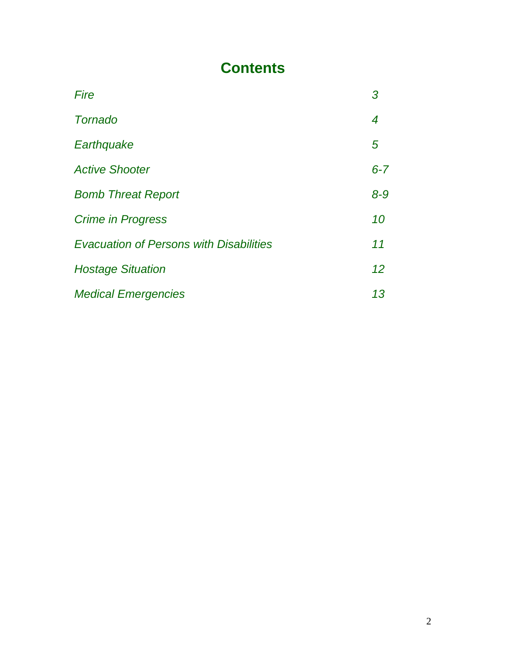### **Contents**

| Fire                                           | 3       |
|------------------------------------------------|---------|
| <b>Tornado</b>                                 | 4       |
| Earthquake                                     | 5       |
| <b>Active Shooter</b>                          | $6 - 7$ |
| <b>Bomb Threat Report</b>                      | $8 - 9$ |
| <b>Crime in Progress</b>                       | 10      |
| <b>Evacuation of Persons with Disabilities</b> | 11      |
| <b>Hostage Situation</b>                       | 12      |
| <b>Medical Emergencies</b>                     | 13      |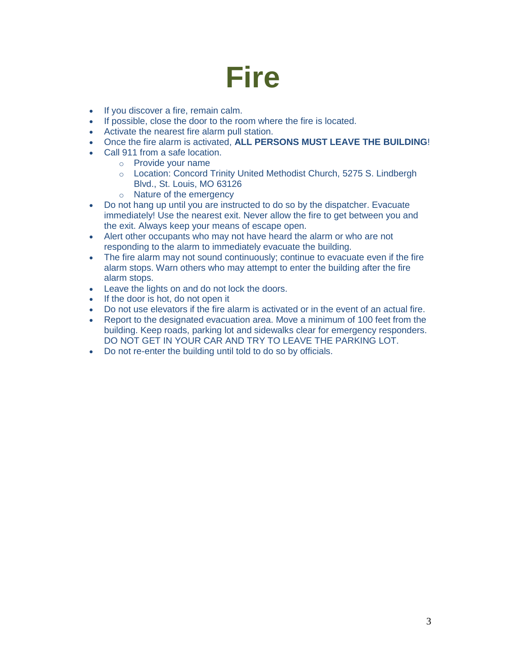### **Fire**

- If you discover a fire, remain calm.
- If possible, close the door to the room where the fire is located.
- Activate the nearest fire alarm pull station.
- Once the fire alarm is activated, **ALL PERSONS MUST LEAVE THE BUILDING**!
- Call 911 from a safe location.
	- o Provide your name
	- o Location: Concord Trinity United Methodist Church, 5275 S. Lindbergh Blvd., St. Louis, MO 63126
	- o Nature of the emergency
- Do not hang up until you are instructed to do so by the dispatcher. Evacuate immediately! Use the nearest exit. Never allow the fire to get between you and the exit. Always keep your means of escape open.
- Alert other occupants who may not have heard the alarm or who are not responding to the alarm to immediately evacuate the building.
- The fire alarm may not sound continuously; continue to evacuate even if the fire alarm stops. Warn others who may attempt to enter the building after the fire alarm stops.
- Leave the lights on and do not lock the doors.
- If the door is hot, do not open it
- Do not use elevators if the fire alarm is activated or in the event of an actual fire.
- Report to the designated evacuation area. Move a minimum of 100 feet from the building. Keep roads, parking lot and sidewalks clear for emergency responders. DO NOT GET IN YOUR CAR AND TRY TO LEAVE THE PARKING LOT.
- Do not re-enter the building until told to do so by officials.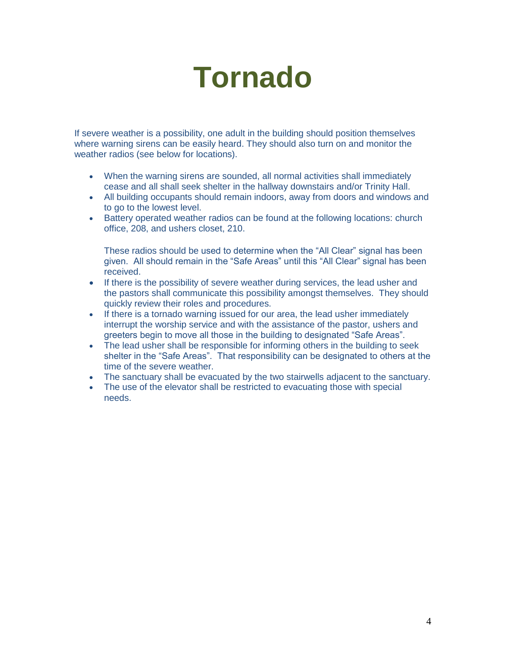### **Tornado**

If severe weather is a possibility, one adult in the building should position themselves where warning sirens can be easily heard. They should also turn on and monitor the weather radios (see below for locations).

- When the warning sirens are sounded, all normal activities shall immediately cease and all shall seek shelter in the hallway downstairs and/or Trinity Hall.
- All building occupants should remain indoors, away from doors and windows and to go to the lowest level.
- Battery operated weather radios can be found at the following locations: church office, 208, and ushers closet, 210.

These radios should be used to determine when the "All Clear" signal has been given. All should remain in the "Safe Areas" until this "All Clear" signal has been received.

- If there is the possibility of severe weather during services, the lead usher and the pastors shall communicate this possibility amongst themselves. They should quickly review their roles and procedures.
- If there is a tornado warning issued for our area, the lead usher immediately interrupt the worship service and with the assistance of the pastor, ushers and greeters begin to move all those in the building to designated "Safe Areas".
- The lead usher shall be responsible for informing others in the building to seek shelter in the "Safe Areas". That responsibility can be designated to others at the time of the severe weather.
- The sanctuary shall be evacuated by the two stairwells adjacent to the sanctuary.
- The use of the elevator shall be restricted to evacuating those with special needs.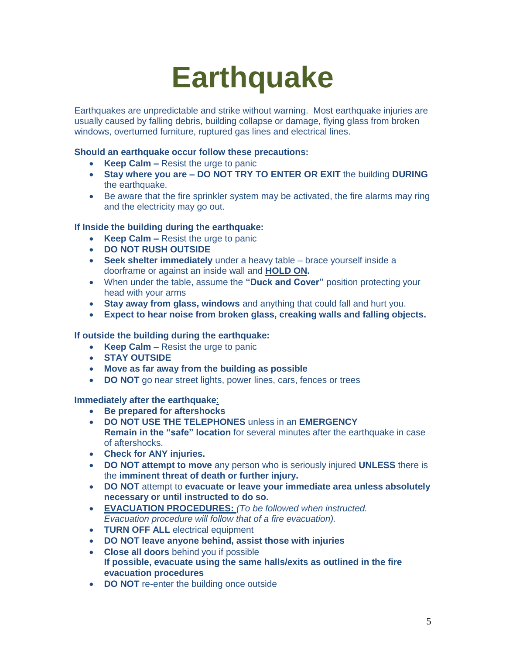### **Earthquake**

Earthquakes are unpredictable and strike without warning. Most earthquake injuries are usually caused by falling debris, building collapse or damage, flying glass from broken windows, overturned furniture, ruptured gas lines and electrical lines.

#### **Should an earthquake occur follow these precautions:**

- **Keep Calm –** Resist the urge to panic
- **Stay where you are DO NOT TRY TO ENTER OR EXIT** the building **DURING** the earthquake.
- Be aware that the fire sprinkler system may be activated, the fire alarms may ring and the electricity may go out.

#### **If Inside the building during the earthquake:**

- **Keep Calm –** Resist the urge to panic
- **DO NOT RUSH OUTSIDE**
- **Seek shelter immediately** under a heavy table brace yourself inside a doorframe or against an inside wall and **HOLD ON.**
- When under the table, assume the **"Duck and Cover"** position protecting your head with your arms
- **Stay away from glass, windows** and anything that could fall and hurt you.
- **Expect to hear noise from broken glass, creaking walls and falling objects.**

#### **If outside the building during the earthquake:**

- **Keep Calm –** Resist the urge to panic
- **STAY OUTSIDE**
- **Move as far away from the building as possible**
- **DO NOT** go near street lights, power lines, cars, fences or trees

#### **Immediately after the earthquake**:

- **Be prepared for aftershocks**
- **DO NOT USE THE TELEPHONES** unless in an **EMERGENCY Remain in the "safe" location** for several minutes after the earthquake in case of aftershocks.
- **Check for ANY injuries.**
- **DO NOT attempt to move** any person who is seriously injured **UNLESS** there is the **imminent threat of death or further injury.**
- **DO NOT** attempt to **evacuate or leave your immediate area unless absolutely necessary or until instructed to do so.**
- **EVACUATION PROCEDURES:** *(To be followed when instructed. Evacuation procedure will follow that of a fire evacuation).*
- **TURN OFF ALL** electrical equipment
- **DO NOT leave anyone behind, assist those with injuries**
- **Close all doors** behind you if possible **If possible, evacuate using the same halls/exits as outlined in the fire evacuation procedures**
- **DO NOT** re-enter the building once outside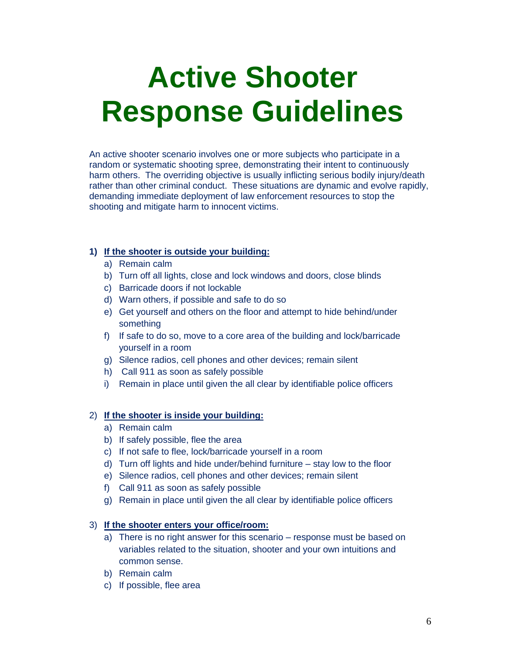## **Active Shooter Response Guidelines**

An active shooter scenario involves one or more subjects who participate in a random or systematic shooting spree, demonstrating their intent to continuously harm others. The overriding objective is usually inflicting serious bodily injury/death rather than other criminal conduct. These situations are dynamic and evolve rapidly, demanding immediate deployment of law enforcement resources to stop the shooting and mitigate harm to innocent victims.

#### **1) If the shooter is outside your building:**

- a) Remain calm
- b) Turn off all lights, close and lock windows and doors, close blinds
- c) Barricade doors if not lockable
- d) Warn others, if possible and safe to do so
- e) Get yourself and others on the floor and attempt to hide behind/under something
- f) If safe to do so, move to a core area of the building and lock/barricade yourself in a room
- g) Silence radios, cell phones and other devices; remain silent
- h) Call 911 as soon as safely possible
- i) Remain in place until given the all clear by identifiable police officers

#### 2) **If the shooter is inside your building:**

- a) Remain calm
- b) If safely possible, flee the area
- c) If not safe to flee, lock/barricade yourself in a room
- d) Turn off lights and hide under/behind furniture stay low to the floor
- e) Silence radios, cell phones and other devices; remain silent
- f) Call 911 as soon as safely possible
- g) Remain in place until given the all clear by identifiable police officers

#### 3) **If the shooter enters your office/room:**

- a) There is no right answer for this scenario response must be based on variables related to the situation, shooter and your own intuitions and common sense.
- b) Remain calm
- c) If possible, flee area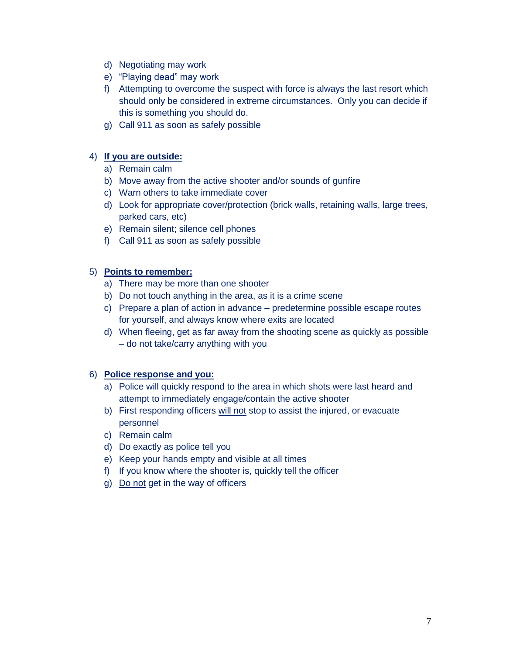- d) Negotiating may work
- e) "Playing dead" may work
- f) Attempting to overcome the suspect with force is always the last resort which should only be considered in extreme circumstances. Only you can decide if this is something you should do.
- g) Call 911 as soon as safely possible

#### 4) **If you are outside:**

- a) Remain calm
- b) Move away from the active shooter and/or sounds of gunfire
- c) Warn others to take immediate cover
- d) Look for appropriate cover/protection (brick walls, retaining walls, large trees, parked cars, etc)
- e) Remain silent; silence cell phones
- f) Call 911 as soon as safely possible

#### 5) **Points to remember:**

- a) There may be more than one shooter
- b) Do not touch anything in the area, as it is a crime scene
- c) Prepare a plan of action in advance predetermine possible escape routes for yourself, and always know where exits are located
- d) When fleeing, get as far away from the shooting scene as quickly as possible – do not take/carry anything with you

#### 6) **Police response and you:**

- a) Police will quickly respond to the area in which shots were last heard and attempt to immediately engage/contain the active shooter
- b) First responding officers will not stop to assist the injured, or evacuate personnel
- c) Remain calm
- d) Do exactly as police tell you
- e) Keep your hands empty and visible at all times
- f) If you know where the shooter is, quickly tell the officer
- g) Do not get in the way of officers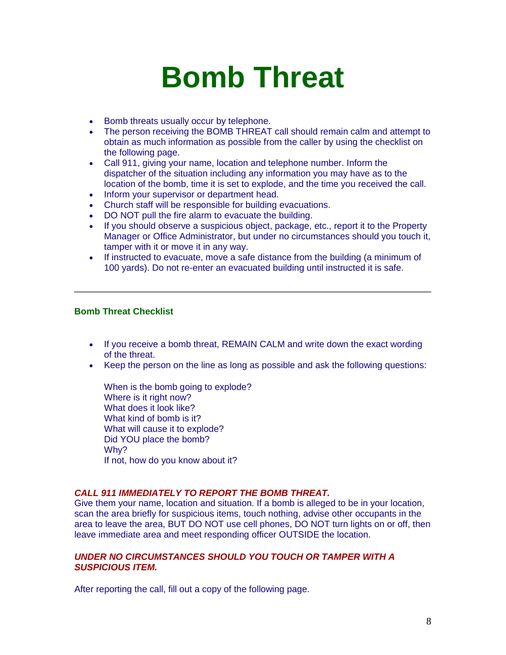### **Bomb Threat**

- Bomb threats usually occur by telephone.
- The person receiving the BOMB THREAT call should remain calm and attempt to obtain as much information as possible from the caller by using the checklist on the following page.
- Call 911, giving your name, location and telephone number. Inform the dispatcher of the situation including any information you may have as to the location of the bomb, time it is set to explode, and the time you received the call.
- Inform your supervisor or department head.
- Church staff will be responsible for building evacuations.
- DO NOT pull the fire alarm to evacuate the building.
- If you should observe a suspicious object, package, etc., report it to the Property Manager or Office Administrator, but under no circumstances should you touch it, tamper with it or move it in any way.
- If instructed to evacuate, move a safe distance from the building (a minimum of 100 yards). Do not re-enter an evacuated building until instructed it is safe.

#### **Bomb Threat Checklist**

- If you receive a bomb threat, REMAIN CALM and write down the exact wording of the threat.
- Keep the person on the line as long as possible and ask the following questions:

When is the bomb going to explode? Where is it right now? What does it look like? What kind of bomb is it? What will cause it to explode? Did YOU place the bomb? Wh<sub>v?</sub> If not, how do you know about it?

#### *CALL 911 IMMEDIATELY TO REPORT THE BOMB THREAT.*

Give them your name, location and situation. If a bomb is alleged to be in your location, scan the area briefly for suspicious items, touch nothing, advise other occupants in the area to leave the area, BUT DO NOT use cell phones, DO NOT turn lights on or off, then leave immediate area and meet responding officer OUTSIDE the location.

#### *UNDER NO CIRCUMSTANCES SHOULD YOU TOUCH OR TAMPER WITH A SUSPICIOUS ITEM.*

After reporting the call, fill out a copy of the following page.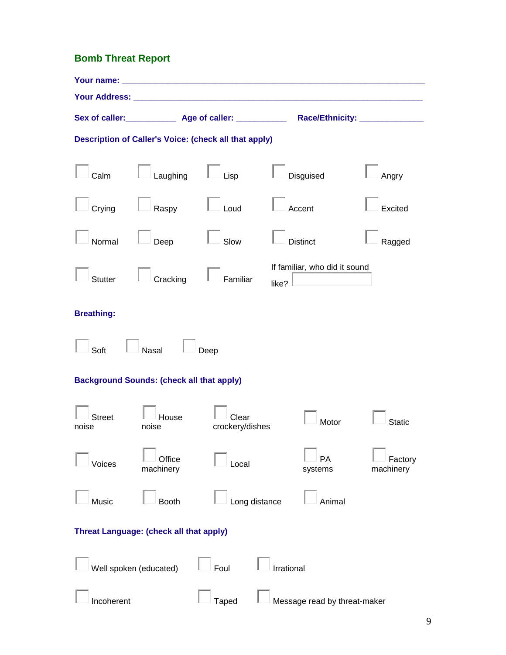### **Bomb Threat Report**

|                        |                                                  |                                                       | Sex of caller: ______________ Age of caller: _______________ Race/Ethnicity: _______________ |                      |
|------------------------|--------------------------------------------------|-------------------------------------------------------|----------------------------------------------------------------------------------------------|----------------------|
|                        |                                                  | Description of Caller's Voice: (check all that apply) |                                                                                              |                      |
| Calm                   | Laughing                                         | $\overline{\phantom{a}}$ Lisp                         | Disguised                                                                                    | Angry                |
| Crying                 | $\Box$ Raspy                                     | $\Box$ Loud                                           | Accent                                                                                       | Excited              |
| Normal                 | Deep                                             | Slow                                                  | <b>Distinct</b>                                                                              | Ragged               |
| <b>Stutter</b>         | Cracking                                         | Familiar                                              | If familiar, who did it sound<br>like?                                                       |                      |
| <b>Breathing:</b>      |                                                  |                                                       |                                                                                              |                      |
| Soft                   | Nasal                                            | Deep                                                  |                                                                                              |                      |
|                        | <b>Background Sounds: (check all that apply)</b> |                                                       |                                                                                              |                      |
| <b>Street</b><br>noise | House<br>noise                                   | Clear<br>crockery/dishes                              | Motor                                                                                        | <b>Static</b>        |
| Voices                 | Office<br>machinery                              | Local                                                 | <b>PA</b><br>systems                                                                         | Factory<br>machinery |
| Music                  | Booth                                            |                                                       | Long distance<br>Animal                                                                      |                      |
|                        | Threat Language: (check all that apply)          |                                                       |                                                                                              |                      |
|                        | Well spoken (educated)                           | Foul                                                  | Irrational                                                                                   |                      |
| Incoherent             |                                                  | <b>Taped</b>                                          | Message read by threat-maker                                                                 |                      |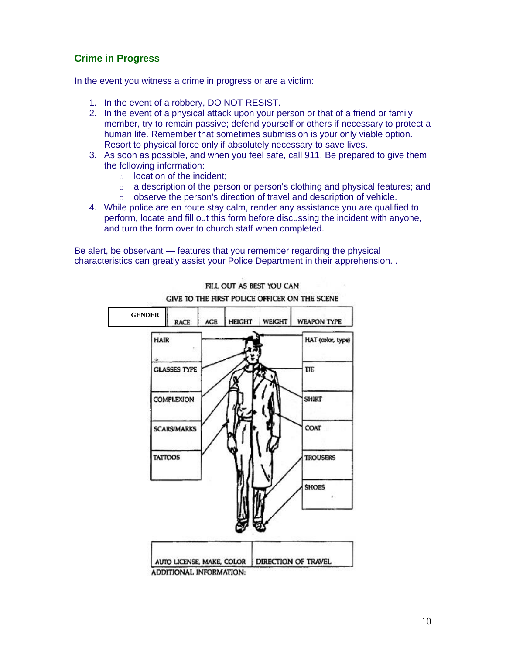#### **Crime in Progress**

In the event you witness a crime in progress or are a victim:

- 1. In the event of a robbery, DO NOT RESIST.
- 2. In the event of a physical attack upon your person or that of a friend or family member, try to remain passive; defend yourself or others if necessary to protect a human life. Remember that sometimes submission is your only viable option. Resort to physical force only if absolutely necessary to save lives.
- 3. As soon as possible, and when you feel safe, call 911. Be prepared to give them the following information:
	- o location of the incident;
	- o a description of the person or person's clothing and physical features; and
	- o observe the person's direction of travel and description of vehicle.
- 4. While police are en route stay calm, render any assistance you are qualified to perform, locate and fill out this form before discussing the incident with anyone, and turn the form over to church staff when completed.

Be alert, be observant — features that you remember regarding the physical characteristics can greatly assist your Police Department in their apprehension. .



FILL OUT AS BEST YOU CAN GIVE TO THE FIRST POLICE OFFICER ON THE SCENE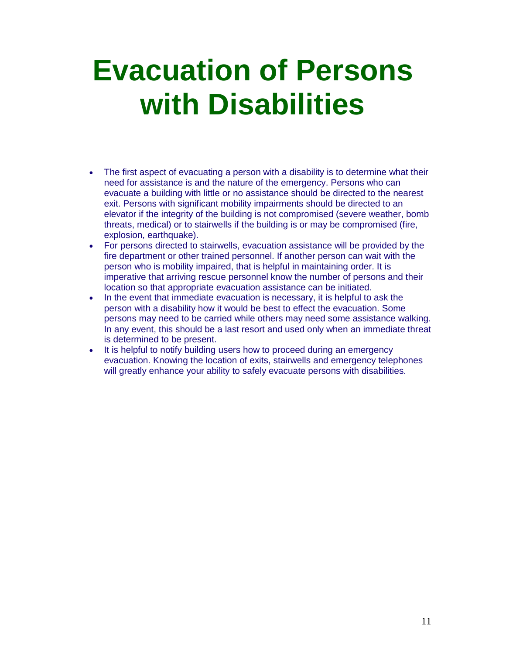## **Evacuation of Persons with Disabilities**

- The first aspect of evacuating a person with a disability is to determine what their need for assistance is and the nature of the emergency. Persons who can evacuate a building with little or no assistance should be directed to the nearest exit. Persons with significant mobility impairments should be directed to an elevator if the integrity of the building is not compromised (severe weather, bomb threats, medical) or to stairwells if the building is or may be compromised (fire, explosion, earthquake).
- For persons directed to stairwells, evacuation assistance will be provided by the fire department or other trained personnel. If another person can wait with the person who is mobility impaired, that is helpful in maintaining order. It is imperative that arriving rescue personnel know the number of persons and their location so that appropriate evacuation assistance can be initiated.
- In the event that immediate evacuation is necessary, it is helpful to ask the person with a disability how it would be best to effect the evacuation. Some persons may need to be carried while others may need some assistance walking. In any event, this should be a last resort and used only when an immediate threat is determined to be present.
- It is helpful to notify building users how to proceed during an emergency evacuation. Knowing the location of exits, stairwells and emergency telephones will greatly enhance your ability to safely evacuate persons with disabilities.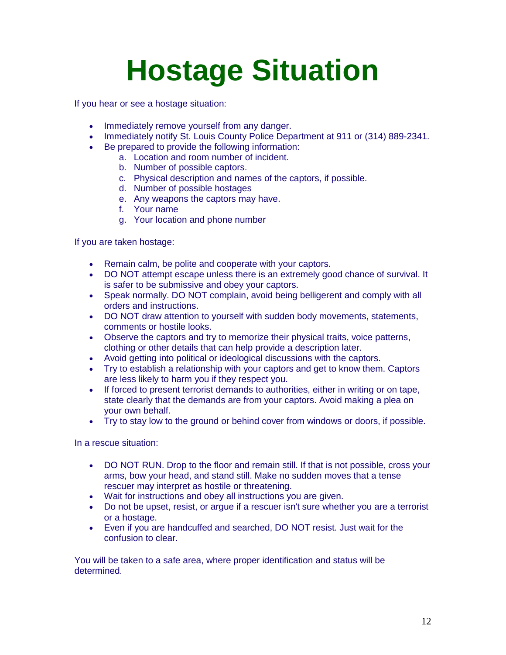# **Hostage Situation**

If you hear or see a hostage situation:

- Immediately remove yourself from any danger.
- Immediately notify St. Louis County Police Department at 911 or (314) 889-2341.
- Be prepared to provide the following information:
	- a. Location and room number of incident.
		- b. Number of possible captors.
		- c. Physical description and names of the captors, if possible.
		- d. Number of possible hostages
		- e. Any weapons the captors may have.
		- f. Your name
		- g. Your location and phone number

If you are taken hostage:

- Remain calm, be polite and cooperate with your captors.
- DO NOT attempt escape unless there is an extremely good chance of survival. It is safer to be submissive and obey your captors.
- Speak normally. DO NOT complain, avoid being belligerent and comply with all orders and instructions.
- DO NOT draw attention to yourself with sudden body movements, statements, comments or hostile looks.
- Observe the captors and try to memorize their physical traits, voice patterns, clothing or other details that can help provide a description later.
- Avoid getting into political or ideological discussions with the captors.
- Try to establish a relationship with your captors and get to know them. Captors are less likely to harm you if they respect you.
- If forced to present terrorist demands to authorities, either in writing or on tape, state clearly that the demands are from your captors. Avoid making a plea on your own behalf.
- Try to stay low to the ground or behind cover from windows or doors, if possible.

In a rescue situation:

- DO NOT RUN. Drop to the floor and remain still. If that is not possible, cross your arms, bow your head, and stand still. Make no sudden moves that a tense rescuer may interpret as hostile or threatening.
- Wait for instructions and obey all instructions you are given.
- Do not be upset, resist, or argue if a rescuer isn't sure whether you are a terrorist or a hostage.
- Even if you are handcuffed and searched, DO NOT resist. Just wait for the confusion to clear.

You will be taken to a safe area, where proper identification and status will be determined.